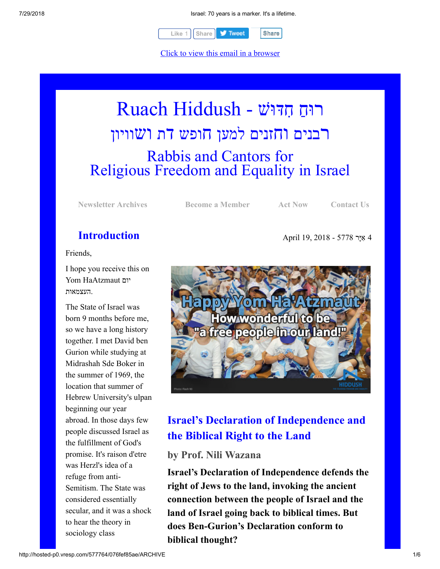

Click to view this email in a browser

# רוּחַ חִדּוּשׁ - Ruach Hiddush רבנים וחזנים למען חופש דת ושוויון Rabbis and Cantors for Religious Freedom and Equality in Israel

**[Newsletter Archives](http://rrfei.org/newsletters/) [Become a Member](http://rrfei.org/about/registration/) [Act Now](http://rrfei.org/act/) [Contact Us](http://rrfei.org/contact-us/)**

4 ִאָיּר 5778 - 2018 19, April

### **Introduction**

Friends,

I hope you receive this on Yom HaAtzmaut יום .העצמאות

The State of Israel was born 9 months before me, so we have a long history together. I met David ben Gurion while studying at Midrashah Sde Boker in the summer of 1969, the location that summer of Hebrew University's ulpan beginning our year abroad. In those days few people discussed Israel as the fulfillment of God's promise. It's raison d'etre was Herzl's idea of a refuge from anti-Semitism. The State was considered essentially secular, and it was a shock to hear the theory in sociology class



# **Israel's Declaration of Independence and the Biblical Right to the Land**

**by Prof. Nili Wazana**

**Israel's Declaration of Independence defends the right of Jews to the land, invoking the ancient connection between the people of Israel and the land of Israel going back to biblical times. But does Ben-Gurion's Declaration conform to biblical thought?**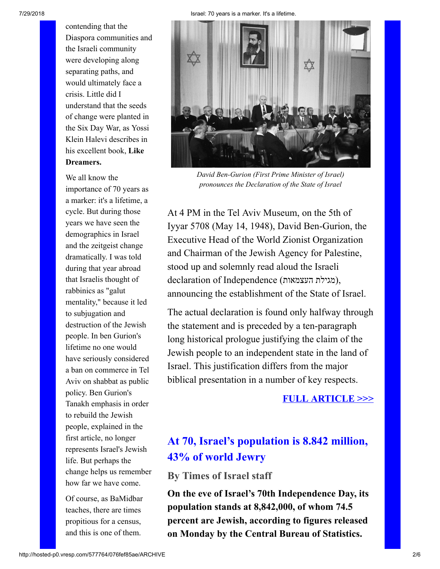contending that the Diaspora communities and the Israeli community were developing along separating paths, and would ultimately face a crisis. Little did I understand that the seeds of change were planted in the Six Day War, as Yossi Klein Halevi describes in his excellent book, **Like Dreamers.**

We all know the importance of 70 years as a marker: it's a lifetime, a cycle. But during those years we have seen the demographics in Israel and the zeitgeist change dramatically. I was told during that year abroad that Israelis thought of rabbinics as "galut mentality," because it led to subjugation and destruction of the Jewish people. In ben Gurion's lifetime no one would have seriously considered a ban on commerce in Tel Aviv on shabbat as public policy. Ben Gurion's Tanakh emphasis in order to rebuild the Jewish people, explained in the first article, no longer represents Israel's Jewish life. But perhaps the change helps us remember how far we have come.

Of course, as BaMidbar teaches, there are times propitious for a census, and this is one of them.



*David Ben-Gurion (First Prime Minister of Israel) pronounces the Declaration of the State of Israel*

At 4 PM in the Tel Aviv Museum, on the 5th of Iyyar 5708 (May 14, 1948), David Ben-Gurion, the Executive Head of the World Zionist Organization and Chairman of the Jewish Agency for Palestine, stood up and solemnly read aloud the Israeli declaration of Independence (העצמאות מגילת(, announcing the establishment of the State of Israel.

The actual declaration is found only halfway through the statement and is preceded by a ten-paragraph long historical prologue justifying the claim of the Jewish people to an independent state in the land of Israel. This justification differs from the major biblical presentation in a number of key respects.

#### **[FULL ARTICLE >>>](https://thetorah.com/israels-declaration-of-independence-and-the-biblical-right-to-the-land/)**

# **At 70, Israel's population is 8.842 million, 43% of world Jewry**

### **By Times of Israel staff**

**On the eve of Israel's 70th Independence Day, its population stands at 8,842,000, of whom 74.5 percent are Jewish, according to figures released on Monday by the Central Bureau of Statistics.**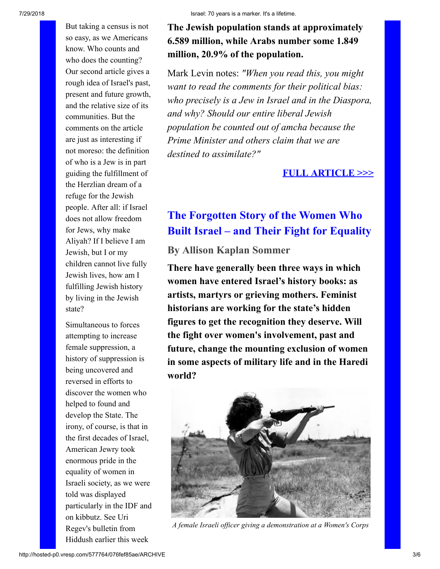But taking a census is not so easy, as we Americans know. Who counts and who does the counting? Our second article gives a rough idea of Israel's past, present and future growth, and the relative size of its communities. But the comments on the article are just as interesting if not moreso: the definition of who is a Jew is in part guiding the fulfillment of the Herzlian dream of a refuge for the Jewish people. After all: if Israel does not allow freedom for Jews, why make Aliyah? If I believe I am Jewish, but I or my children cannot live fully Jewish lives, how am I fulfilling Jewish history by living in the Jewish state?

Simultaneous to forces attempting to increase female suppression, a history of suppression is being uncovered and reversed in efforts to discover the women who helped to found and develop the State. The irony, of course, is that in the first decades of Israel, American Jewry took enormous pride in the equality of women in Israeli society, as we were told was displayed particularly in the IDF and on kibbutz. See Uri Regev's bulletin from Hiddush earlier this week

### **The Jewish population stands at approximately 6.589 million, while Arabs number some 1.849 million, 20.9% of the population.**

Mark Levin notes: *"When you read this, you might want to read the comments for their political bias: who precisely is a Jew in Israel and in the Diaspora, and why? Should our entire liberal Jewish population be counted out of amcha because the Prime Minister and others claim that we are destined to assimilate?"*

#### **[FULL ARTICLE >>>](https://www.timesofisrael.com/at-70-israels-population-is-8-842-million-43-of-world-jewry/)**

# **The Forgotten Story of the Women Who Built Israel – and Their Fight for Equality**

**By Allison Kaplan Sommer**

**There have generally been three ways in which women have entered Israel's history books: as artists, martyrs or grieving mothers. Feminist historians are working for the state's hidden figures to get the recognition they deserve. Will the fight over women's involvement, past and future, change the mounting exclusion of women in some aspects of military life and in the Haredi world?**



*A female Israeli officer giving a demonstration at a Women's Corps*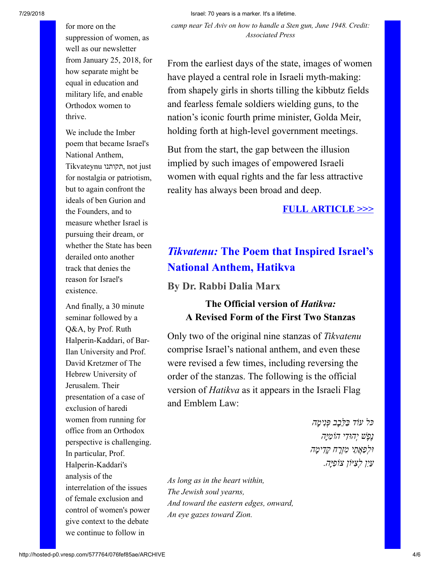7/29/2018 Israel: 70 years is a marker. It's a lifetime.

*camp near Tel Aviv on how to handle a Sten gun, June 1948. Credit: Associated Press*

suppression of women, as well as our newsletter from January 25, 2018, for how separate might be equal in education and military life, and enable Orthodox women to thrive.

for more on the

We include the Imber poem that became Israel's National Anthem, Tikvateynu תקותנו, not just for nostalgia or patriotism, but to again confront the ideals of ben Gurion and the Founders, and to measure whether Israel is pursuing their dream, or whether the State has been derailed onto another track that denies the reason for Israel's existence.

And finally, a 30 minute seminar followed by a Q&A, by Prof. Ruth Halperin-Kaddari, of Bar-Ilan University and Prof. David Kretzmer of The Hebrew University of Jerusalem. Their presentation of a case of exclusion of haredi women from running for office from an Orthodox perspective is challenging. In particular, Prof. Halperin-Kaddari's analysis of the interrelation of the issues of female exclusion and control of women's power give context to the debate we continue to follow in

From the earliest days of the state, images of women have played a central role in Israeli myth-making: from shapely girls in shorts tilling the kibbutz fields and fearless female soldiers wielding guns, to the nation's iconic fourth prime minister, Golda Meir, holding forth at high-level government meetings.

But from the start, the gap between the illusion implied by such images of empowered Israeli women with equal rights and the far less attractive reality has always been broad and deep.

#### **[FULL ARTICLE >>>](https://www.haaretz.com/israel-news/.premium.MAGAZINE-after-70-years-forgotten-stories-of-women-who-built-israel-resurface-1.5988335?=&ts=_1524076705007)**

# *Tikvatenu:* **The Poem that Inspired Israel's National Anthem, Hatikva**

**By Dr. Rabbi Dalia Marx**

### **The Official version of** *Hatikva:* **A Revised Form of the First Two Stanzas**

Only two of the original nine stanzas of *Tikvatenu* comprise Israel's national anthem, and even these were revised a few times, including reversing the order of the stanzas. The following is the official version of *Hatikva* as it appears in the Israeli Flag and Emblem Law:

> *כּל עו ַ ד בּ ֵלָּב ְב פִּנ ָימה ֶנֶפ ְשׁ י ִהוּד ִ י הוֹמָיּה ְוּל ַפֲאֵת ִ י מְזָר ָח קִד ָימה ַעִי ְ ן ל ִצ ִ יּוֹן צוֹפָיּה.*

*As long as in the heart within, The Jewish soul yearns, And toward the eastern edges, onward, An eye gazes toward Zion.*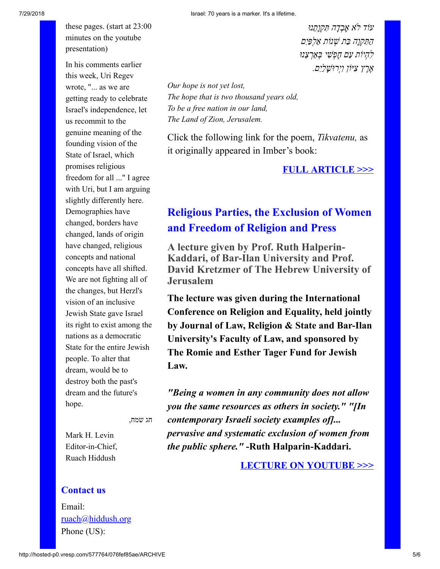these pages. (start at 23:00 minutes on the youtube presentation)

In his comments earlier this week, Uri Regev wrote, "... as we are getting ready to celebrate Israel's independence, let us recommit to the genuine meaning of the founding vision of the State of Israel, which promises religious freedom for all ..." I agree with Uri, but I am arguing slightly differently here. Demographies have changed, borders have changed, lands of origin have changed, religious concepts and national concepts have all shifted. We are not fighting all of the changes, but Herzl's vision of an inclusive Jewish State gave Israel its right to exist among the nations as a democratic State for the entire Jewish people. To alter that dream, would be to destroy both the past's dream and the future's hope.

*עוֹד לֹ ָא אְבָד ִה תּ ְקָוֵתנוּ ַה ִתּ ְקָו ַה בּ ְ ת שׁ ַ נוֹת א ְל ַפִּים ִל ְה ַ יוֹת ע ָם ח ְפ ִשׁ ְ י בַּאְר ֵצנוּ ֶאֶר ִץ צ ִ יּוֹן וְי ָ רוּשַׁלִים.*

*Our hope is not yet lost, The hope that is two thousand years old, To be a free nation in our land, The Land of Zion, Jerusalem.*

Click the following link for the poem, *Tikvatenu,* as it originally appeared in Imber's book:

**[FULL ARTICLE >>>](http://thetorah.com/tikvatenu-the-poem-that-inspired-israels-national-anthem-hatikva/)**

# **Religious Parties, the Exclusion of Women and Freedom of Religion and Press**

**A lecture given by Prof. Ruth Halperin-Kaddari, of Bar-Ilan University and Prof. David Kretzmer of The Hebrew University of Jerusalem**

**The lecture was given during the International Conference on Religion and Equality, held jointly by Journal of Law, Religion & State and Bar-Ilan University's Faculty of Law, and sponsored by The Romie and Esther Tager Fund for Jewish Law.**

*"Being a women in any community does not allow you the same resources as others in society." "[In contemporary Israeli society examples of]... pervasive and systematic exclusion of women from the public sphere."* **-Ruth Halparin-Kaddari.**

**[LECTURE ON YOUTUBE >>>](https://www.youtube.com/watch?v=7dyZaP1eeS4&feature=youtu.be)**

חג שמח,

Mark H. Levin Editor-in-Chief, Ruach Hiddush

#### **Contact us**

Email: [ruach@hiddush.org](http://hosted-p0.vresp.com/577764/076fef85ae/ruach@hiddush.org) Phone (US):